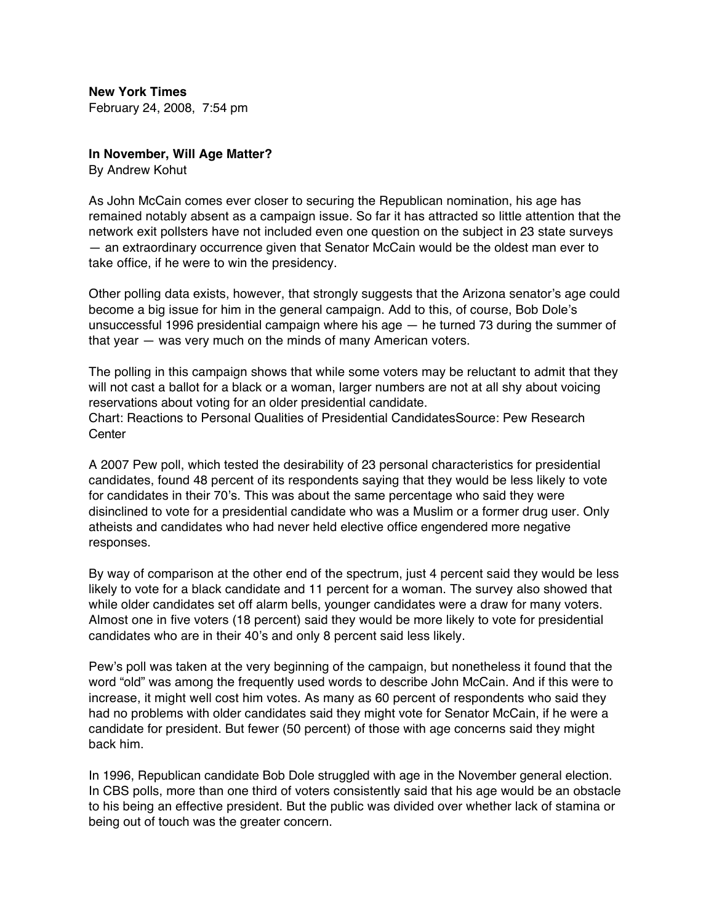**New York Times** February 24, 2008, 7:54 pm

## **In November, Will Age Matter?**

By Andrew Kohut

As John McCain comes ever closer to securing the Republican nomination, his age has remained notably absent as a campaign issue. So far it has attracted so little attention that the network exit pollsters have not included even one question on the subject in 23 state surveys — an extraordinary occurrence given that Senator McCain would be the oldest man ever to take office, if he were to win the presidency.

Other polling data exists, however, that strongly suggests that the Arizona senator's age could become a big issue for him in the general campaign. Add to this, of course, Bob Dole's unsuccessful 1996 presidential campaign where his age  $-$  he turned 73 during the summer of that year — was very much on the minds of many American voters.

The polling in this campaign shows that while some voters may be reluctant to admit that they will not cast a ballot for a black or a woman, larger numbers are not at all shy about voicing reservations about voting for an older presidential candidate. Chart: Reactions to Personal Qualities of Presidential CandidatesSource: Pew Research **Center** 

A 2007 Pew poll, which tested the desirability of 23 personal characteristics for presidential candidates, found 48 percent of its respondents saying that they would be less likely to vote for candidates in their 70's. This was about the same percentage who said they were disinclined to vote for a presidential candidate who was a Muslim or a former drug user. Only atheists and candidates who had never held elective office engendered more negative responses.

By way of comparison at the other end of the spectrum, just 4 percent said they would be less likely to vote for a black candidate and 11 percent for a woman. The survey also showed that while older candidates set off alarm bells, younger candidates were a draw for many voters. Almost one in five voters (18 percent) said they would be more likely to vote for presidential candidates who are in their 40's and only 8 percent said less likely.

Pew's poll was taken at the very beginning of the campaign, but nonetheless it found that the word "old" was among the frequently used words to describe John McCain. And if this were to increase, it might well cost him votes. As many as 60 percent of respondents who said they had no problems with older candidates said they might vote for Senator McCain, if he were a candidate for president. But fewer (50 percent) of those with age concerns said they might back him.

In 1996, Republican candidate Bob Dole struggled with age in the November general election. In CBS polls, more than one third of voters consistently said that his age would be an obstacle to his being an effective president. But the public was divided over whether lack of stamina or being out of touch was the greater concern.